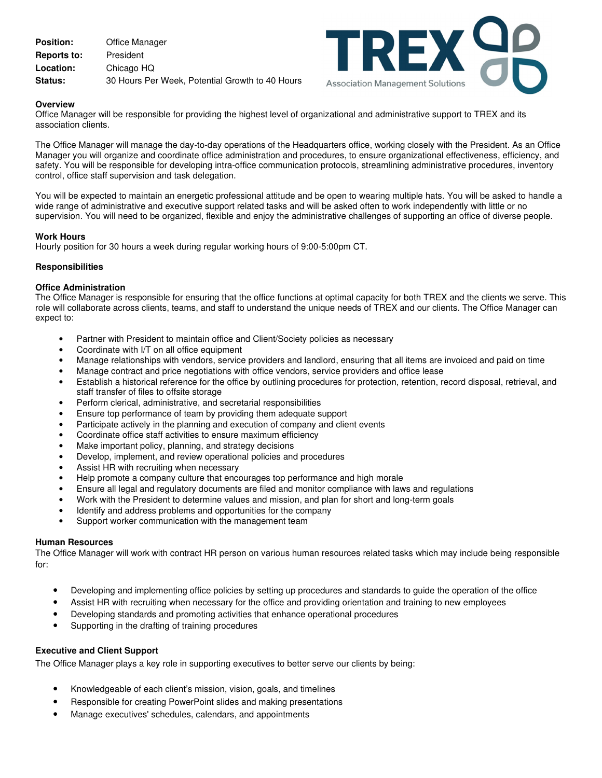| <b>Position:</b>   | Office Manager                                  |
|--------------------|-------------------------------------------------|
| <b>Reports to:</b> | President                                       |
| Location:          | Chicago HQ                                      |
| <b>Status:</b>     | 30 Hours Per Week, Potential Growth to 40 Hours |



## **Overview**

Office Manager will be responsible for providing the highest level of organizational and administrative support to TREX and its association clients.

The Office Manager will manage the day-to-day operations of the Headquarters office, working closely with the President. As an Office Manager you will organize and coordinate office administration and procedures, to ensure organizational effectiveness, efficiency, and safety. You will be responsible for developing intra-office communication protocols, streamlining administrative procedures, inventory control, office staff supervision and task delegation.

You will be expected to maintain an energetic professional attitude and be open to wearing multiple hats. You will be asked to handle a wide range of administrative and executive support related tasks and will be asked often to work independently with little or no supervision. You will need to be organized, flexible and enjoy the administrative challenges of supporting an office of diverse people.

## **Work Hours**

Hourly position for 30 hours a week during regular working hours of 9:00-5:00pm CT.

## **Responsibilities**

## **Office Administration**

The Office Manager is responsible for ensuring that the office functions at optimal capacity for both TREX and the clients we serve. This role will collaborate across clients, teams, and staff to understand the unique needs of TREX and our clients. The Office Manager can expect to:

- Partner with President to maintain office and Client/Society policies as necessary
- Coordinate with I/T on all office equipment
- Manage relationships with vendors, service providers and landlord, ensuring that all items are invoiced and paid on time
- Manage contract and price negotiations with office vendors, service providers and office lease
- Establish a historical reference for the office by outlining procedures for protection, retention, record disposal, retrieval, and staff transfer of files to offsite storage
- Perform clerical, administrative, and secretarial responsibilities
- Ensure top performance of team by providing them adequate support
- Participate actively in the planning and execution of company and client events
- Coordinate office staff activities to ensure maximum efficiency
- Make important policy, planning, and strategy decisions
- Develop, implement, and review operational policies and procedures
- Assist HR with recruiting when necessary
- Help promote a company culture that encourages top performance and high morale
- Ensure all legal and regulatory documents are filed and monitor compliance with laws and regulations
- Work with the President to determine values and mission, and plan for short and long-term goals
- Identify and address problems and opportunities for the company
- Support worker communication with the management team

#### **Human Resources**

The Office Manager will work with contract HR person on various human resources related tasks which may include being responsible for:

- Developing and implementing office policies by setting up procedures and standards to guide the operation of the office
- Assist HR with recruiting when necessary for the office and providing orientation and training to new employees
- Developing standards and promoting activities that enhance operational procedures
- Supporting in the drafting of training procedures

# **Executive and Client Support**

The Office Manager plays a key role in supporting executives to better serve our clients by being:

- Knowledgeable of each client's mission, vision, goals, and timelines
- Responsible for creating PowerPoint slides and making presentations
- Manage executives' schedules, calendars, and appointments